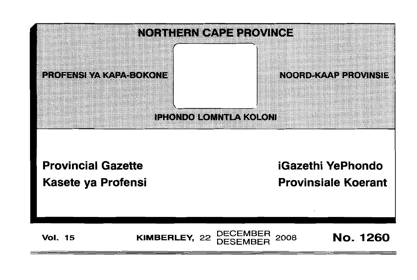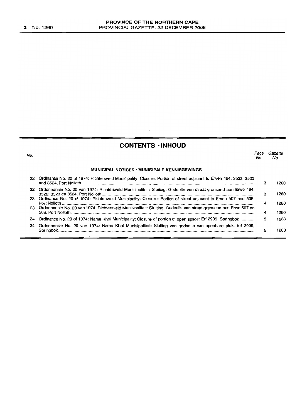No.

# **CONTENTS • INHOUD**

 $\ddot{\phantom{0}}$ 

*Page Gazette* No. No.

#### **MUNICIPAL NOTICES • MUNISIPALE KENNISGEWINGS**

|    | 22 Ordinance No. 20 of 1974: Richtersveld Municipality: Closure: Portion of street adjacent to Erven 464, 3522, 3523 |   | 1260 |
|----|----------------------------------------------------------------------------------------------------------------------|---|------|
| 22 | Ordonnansie No. 20 van 1974: Richtersveld Munisipaliteit: Sluiting: Gedeelte van straat grensend aan Erwe 464,       |   | 1260 |
|    | 23 Ordinance No. 20 of 1974: Richtersveld Municipality: Closure: Portion of street adjacent to Erven 507 and 508,    | 4 | 1260 |
|    | 23 Ordonnansie No. 20 van 1974: Richtersveld Munisipaliteit: Sluiting: Gedeelte van straat grensend aan Erwe 507 en  |   | 1260 |
| 24 | Ordinance No. 20 of 1974: Nama Khoi Municipality: Closure of portion of open space: Erf 2909, Springbok              | 5 | 1260 |
| 24 | Ordonnansie No. 20 van 1974: Nama Khoi Munisipaliteit: Sluiting van gedeelte van openbare plek: Erf 2909,            |   |      |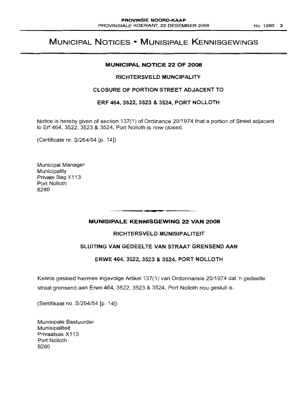# MUNICIPAL NOTICES • MUNISIPALE KENNISGEWINGS

### MUNICIPAL NOTICE 22 OF 2008

### RICHTERSVELD MUNCIPALITY

### CLOSURE OF PORTION STREET ADJACENT TO

ERF 464, 3522, 3523 & 3524, PORT NOLLOTH

Notice is hereby given of section 137(1) of Ordinance 20/1974 that a portion of Street adjacent to Erf 464, 3522, 3523 & 3524, Port Nolloth is now closed.

(Certificate nr. S/264/54 [p. 14])

Municipal Manager Municipality Private Bag X113 Port Nolloth 8280

# MUNISIPALE KENNISGEWING 22 VAN 2008

. **. ....**

# RICHTERSVELD MUNISIPALITEIT

# SLUITING VAN GEDEELTE VAN STRAAT GRENSEND AAN

# ERWE 464, 3522, 3523 & 3524, PORT NOLLOTH

Kennis geskied hiermee ingevolge Artikel 137(1) van Ordonnansie 20/1974 dat 'n gedeelte straat grensend aan Erwe 464, 3522, 3523 & 3524, Port Nolloth nou gesluit is.

(Sertifikaat no. S/264/54 [p. 14])

Munisipale Bestuurder Munisipaliteit Privaatsak X113 Port Nolloth 8280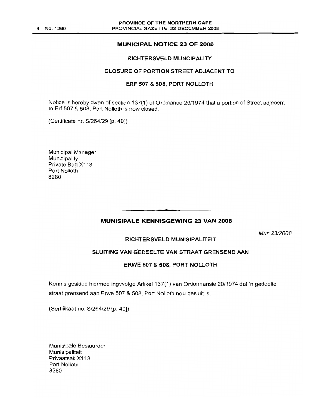### MUNICIPAL NOTICE 23 OF 2008

#### RICHTERSVELD MUNCIPALITY

### CLOSURE OF PORTION STREET ADJACENT TO

### ERF 507 & 508, PORT NOLLOTH

Notice is hereby given of section 137(1) of Ordinance 20/1974 that a portion of Street adjacent to Erf 507 & 508. Port Nolloth is now closed.

(Certificate nr. S/264/29 [p. 40])

Municipal Manager **Municipality** Private Bag X113 Port Nolloth 8280

# **•** MUNISIPALE KENNISGEWING 23 VAN 2008

Mun 23/2008

### RICHTERSVELD MUNISIPALITEIT

### SLUITING VAN GEDEELTE VAN STRAAT GRENSEND AAN

### ERWE 507 & 508, PORT NOLLOTH

Kennis geskied hiermee ingevolge Artikel 137(1) van Ordonnansie 20/1974 dat 'n gedeelte straat grensend aan Erwe 507 & 508. Port Nolloth nou gesluit is.

(Sertifikaat no. S/264/29 [p. 40])

Munisipale Bestuurder Munisipaliteit Privaatsak X113 Port Nolloth 8280